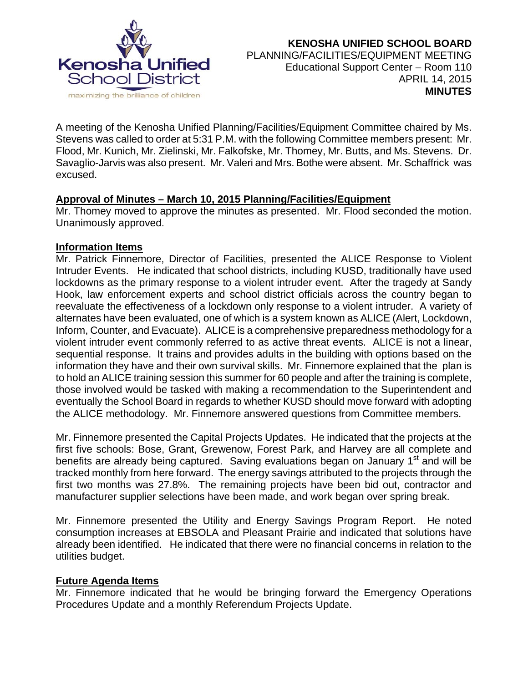

A meeting of the Kenosha Unified Planning/Facilities/Equipment Committee chaired by Ms. Stevens was called to order at 5:31 P.M. with the following Committee members present: Mr. Flood, Mr. Kunich, Mr. Zielinski, Mr. Falkofske, Mr. Thomey, Mr. Butts, and Ms. Stevens. Dr. Savaglio-Jarvis was also present. Mr. Valeri and Mrs. Bothe were absent. Mr. Schaffrick was excused.

## **Approval of Minutes – March 10, 2015 Planning/Facilities/Equipment**

Mr. Thomey moved to approve the minutes as presented. Mr. Flood seconded the motion. Unanimously approved.

## **Information Items**

Mr. Patrick Finnemore, Director of Facilities, presented the ALICE Response to Violent Intruder Events. He indicated that school districts, including KUSD, traditionally have used lockdowns as the primary response to a violent intruder event. After the tragedy at Sandy Hook, law enforcement experts and school district officials across the country began to reevaluate the effectiveness of a lockdown only response to a violent intruder. A variety of alternates have been evaluated, one of which is a system known as ALICE (Alert, Lockdown, Inform, Counter, and Evacuate). ALICE is a comprehensive preparedness methodology for a violent intruder event commonly referred to as active threat events. ALICE is not a linear, sequential response. It trains and provides adults in the building with options based on the information they have and their own survival skills. Mr. Finnemore explained that the plan is to hold an ALICE training session this summer for 60 people and after the training is complete, those involved would be tasked with making a recommendation to the Superintendent and eventually the School Board in regards to whether KUSD should move forward with adopting the ALICE methodology. Mr. Finnemore answered questions from Committee members.

Mr. Finnemore presented the Capital Projects Updates. He indicated that the projects at the first five schools: Bose, Grant, Grewenow, Forest Park, and Harvey are all complete and benefits are already being captured. Saving evaluations began on January 1<sup>st</sup> and will be tracked monthly from here forward. The energy savings attributed to the projects through the first two months was 27.8%. The remaining projects have been bid out, contractor and manufacturer supplier selections have been made, and work began over spring break.

Mr. Finnemore presented the Utility and Energy Savings Program Report. He noted consumption increases at EBSOLA and Pleasant Prairie and indicated that solutions have already been identified. He indicated that there were no financial concerns in relation to the utilities budget.

# **Future Agenda Items**

Mr. Finnemore indicated that he would be bringing forward the Emergency Operations Procedures Update and a monthly Referendum Projects Update.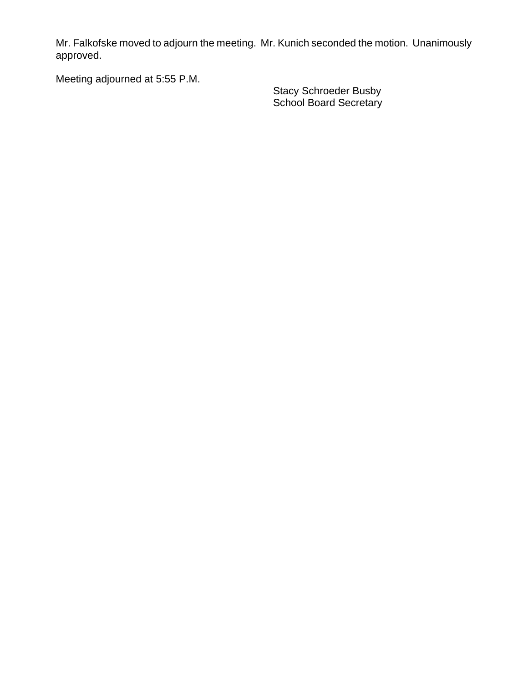Mr. Falkofske moved to adjourn the meeting. Mr. Kunich seconded the motion. Unanimously approved.

Meeting adjourned at 5:55 P.M.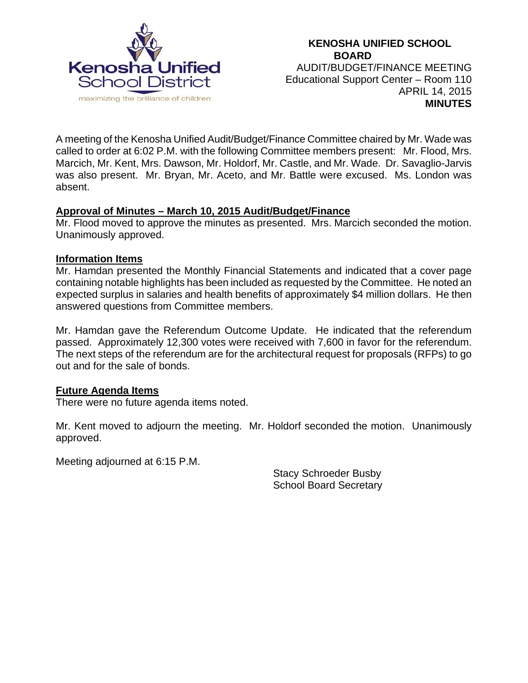

A meeting of the Kenosha Unified Audit/Budget/Finance Committee chaired by Mr. Wade was called to order at 6:02 P.M. with the following Committee members present: Mr. Flood, Mrs. Marcich, Mr. Kent, Mrs. Dawson, Mr. Holdorf, Mr. Castle, and Mr. Wade. Dr. Savaglio-Jarvis was also present. Mr. Bryan, Mr. Aceto, and Mr. Battle were excused. Ms. London was absent.

## **Approval of Minutes – March 10, 2015 Audit/Budget/Finance**

Mr. Flood moved to approve the minutes as presented. Mrs. Marcich seconded the motion. Unanimously approved.

#### **Information Items**

Mr. Hamdan presented the Monthly Financial Statements and indicated that a cover page containing notable highlights has been included as requested by the Committee. He noted an expected surplus in salaries and health benefits of approximately \$4 million dollars. He then answered questions from Committee members.

Mr. Hamdan gave the Referendum Outcome Update. He indicated that the referendum passed. Approximately 12,300 votes were received with 7,600 in favor for the referendum. The next steps of the referendum are for the architectural request for proposals (RFPs) to go out and for the sale of bonds.

#### **Future Agenda Items**

There were no future agenda items noted.

Mr. Kent moved to adjourn the meeting. Mr. Holdorf seconded the motion. Unanimously approved.

Meeting adjourned at 6:15 P.M.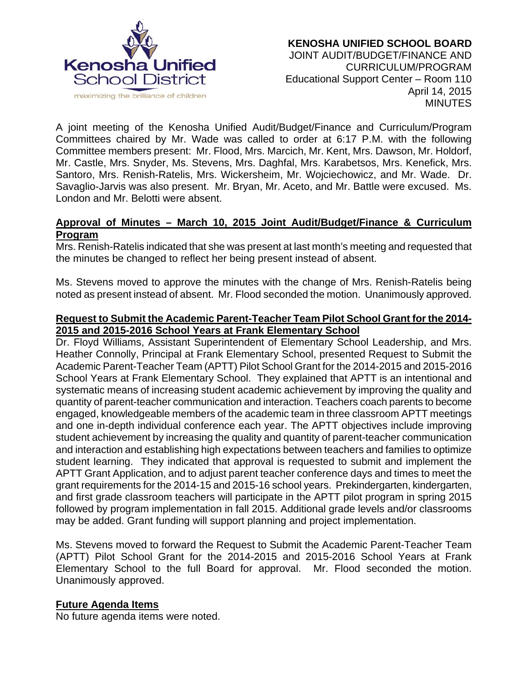

A joint meeting of the Kenosha Unified Audit/Budget/Finance and Curriculum/Program Committees chaired by Mr. Wade was called to order at 6:17 P.M. with the following Committee members present: Mr. Flood, Mrs. Marcich, Mr. Kent, Mrs. Dawson, Mr. Holdorf, Mr. Castle, Mrs. Snyder, Ms. Stevens, Mrs. Daghfal, Mrs. Karabetsos, Mrs. Kenefick, Mrs. Santoro, Mrs. Renish-Ratelis, Mrs. Wickersheim, Mr. Wojciechowicz, and Mr. Wade. Dr. Savaglio-Jarvis was also present. Mr. Bryan, Mr. Aceto, and Mr. Battle were excused. Ms. London and Mr. Belotti were absent.

### **Approval of Minutes – March 10, 2015 Joint Audit/Budget/Finance & Curriculum Program**

Mrs. Renish-Ratelis indicated that she was present at last month's meeting and requested that the minutes be changed to reflect her being present instead of absent.

Ms. Stevens moved to approve the minutes with the change of Mrs. Renish-Ratelis being noted as present instead of absent. Mr. Flood seconded the motion. Unanimously approved.

#### **Request to Submit the Academic Parent-Teacher Team Pilot School Grant for the 2014- 2015 and 2015-2016 School Years at Frank Elementary School**

Dr. Floyd Williams, Assistant Superintendent of Elementary School Leadership, and Mrs. Heather Connolly, Principal at Frank Elementary School, presented Request to Submit the Academic Parent-Teacher Team (APTT) Pilot School Grant for the 2014-2015 and 2015-2016 School Years at Frank Elementary School. They explained that APTT is an intentional and systematic means of increasing student academic achievement by improving the quality and quantity of parent-teacher communication and interaction. Teachers coach parents to become engaged, knowledgeable members of the academic team in three classroom APTT meetings and one in-depth individual conference each year. The APTT objectives include improving student achievement by increasing the quality and quantity of parent-teacher communication and interaction and establishing high expectations between teachers and families to optimize student learning. They indicated that approval is requested to submit and implement the APTT Grant Application, and to adjust parent teacher conference days and times to meet the grant requirements for the 2014-15 and 2015-16 school years. Prekindergarten, kindergarten, and first grade classroom teachers will participate in the APTT pilot program in spring 2015 followed by program implementation in fall 2015. Additional grade levels and/or classrooms may be added. Grant funding will support planning and project implementation.

Ms. Stevens moved to forward the Request to Submit the Academic Parent-Teacher Team (APTT) Pilot School Grant for the 2014-2015 and 2015-2016 School Years at Frank Elementary School to the full Board for approval. Mr. Flood seconded the motion. Unanimously approved.

#### **Future Agenda Items**

No future agenda items were noted.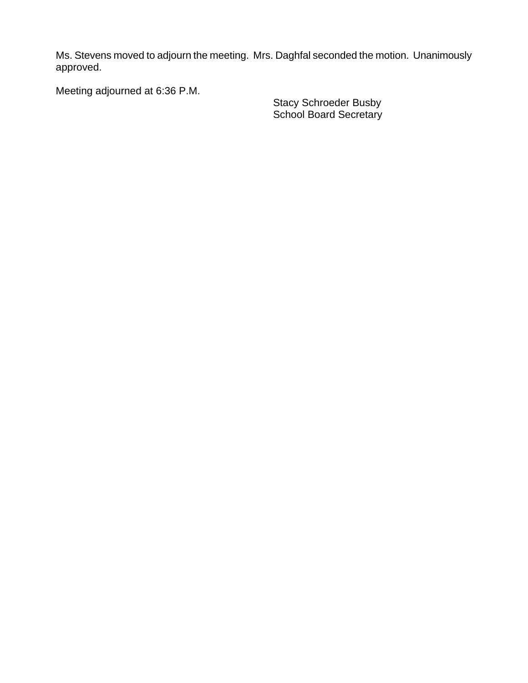Ms. Stevens moved to adjourn the meeting. Mrs. Daghfal seconded the motion. Unanimously approved.

Meeting adjourned at 6:36 P.M.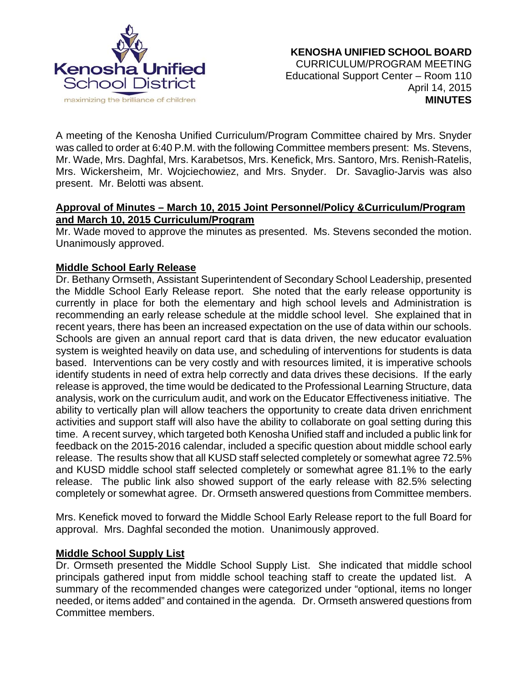

A meeting of the Kenosha Unified Curriculum/Program Committee chaired by Mrs. Snyder was called to order at 6:40 P.M. with the following Committee members present: Ms. Stevens, Mr. Wade, Mrs. Daghfal, Mrs. Karabetsos, Mrs. Kenefick, Mrs. Santoro, Mrs. Renish-Ratelis, Mrs. Wickersheim, Mr. Wojciechowiez, and Mrs. Snyder. Dr. Savaglio-Jarvis was also present. Mr. Belotti was absent.

# **Approval of Minutes – March 10, 2015 Joint Personnel/Policy &Curriculum/Program and March 10, 2015 Curriculum/Program**

Mr. Wade moved to approve the minutes as presented. Ms. Stevens seconded the motion. Unanimously approved.

## **Middle School Early Release**

Dr. Bethany Ormseth, Assistant Superintendent of Secondary School Leadership, presented the Middle School Early Release report. She noted that the early release opportunity is currently in place for both the elementary and high school levels and Administration is recommending an early release schedule at the middle school level. She explained that in recent years, there has been an increased expectation on the use of data within our schools. Schools are given an annual report card that is data driven, the new educator evaluation system is weighted heavily on data use, and scheduling of interventions for students is data based. Interventions can be very costly and with resources limited, it is imperative schools identify students in need of extra help correctly and data drives these decisions. If the early release is approved, the time would be dedicated to the Professional Learning Structure, data analysis, work on the curriculum audit, and work on the Educator Effectiveness initiative. The ability to vertically plan will allow teachers the opportunity to create data driven enrichment activities and support staff will also have the ability to collaborate on goal setting during this time. A recent survey, which targeted both Kenosha Unified staff and included a public link for feedback on the 2015-2016 calendar, included a specific question about middle school early release. The results show that all KUSD staff selected completely or somewhat agree 72.5% and KUSD middle school staff selected completely or somewhat agree 81.1% to the early release. The public link also showed support of the early release with 82.5% selecting completely or somewhat agree. Dr. Ormseth answered questions from Committee members.

Mrs. Kenefick moved to forward the Middle School Early Release report to the full Board for approval. Mrs. Daghfal seconded the motion. Unanimously approved.

#### **Middle School Supply List**

Dr. Ormseth presented the Middle School Supply List. She indicated that middle school principals gathered input from middle school teaching staff to create the updated list. A summary of the recommended changes were categorized under "optional, items no longer needed, or items added" and contained in the agenda. Dr. Ormseth answered questions from Committee members.